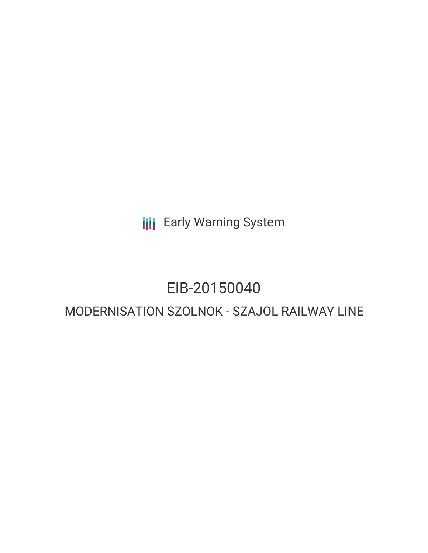**III** Early Warning System

# EIB-20150040

# MODERNISATION SZOLNOK - SZAJOL RAILWAY LINE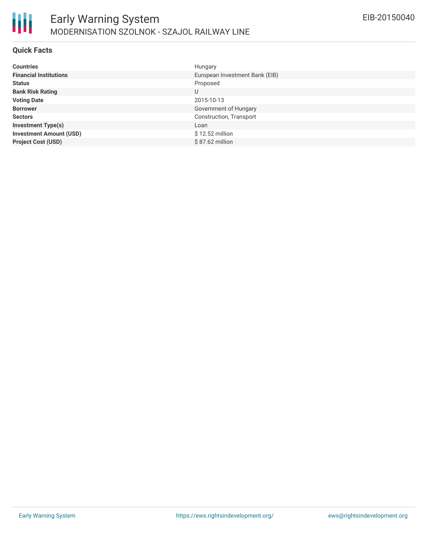

## **Quick Facts**

| <b>Countries</b>               | Hungary                        |
|--------------------------------|--------------------------------|
| <b>Financial Institutions</b>  | European Investment Bank (EIB) |
| <b>Status</b>                  | Proposed                       |
| <b>Bank Risk Rating</b>        | U                              |
| <b>Voting Date</b>             | 2015-10-13                     |
| <b>Borrower</b>                | Government of Hungary          |
| <b>Sectors</b>                 | Construction, Transport        |
| <b>Investment Type(s)</b>      | Loan                           |
| <b>Investment Amount (USD)</b> | $$12.52$ million               |
| <b>Project Cost (USD)</b>      | $$87.62$ million               |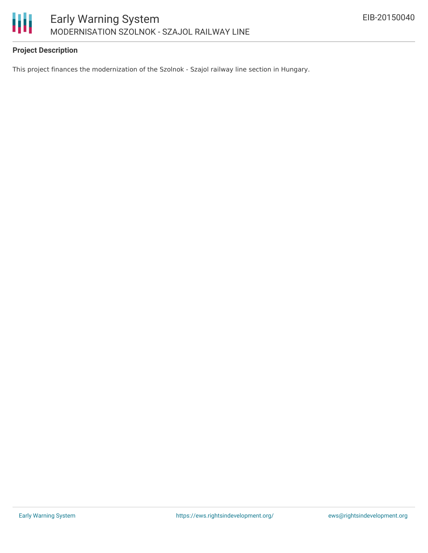

# **Project Description**

This project finances the modernization of the Szolnok - Szajol railway line section in Hungary.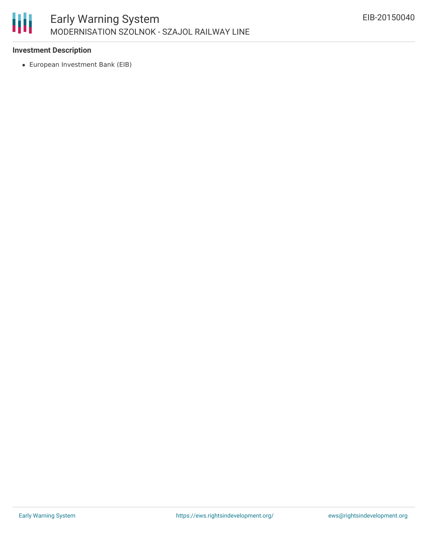

# **Investment Description**

European Investment Bank (EIB)